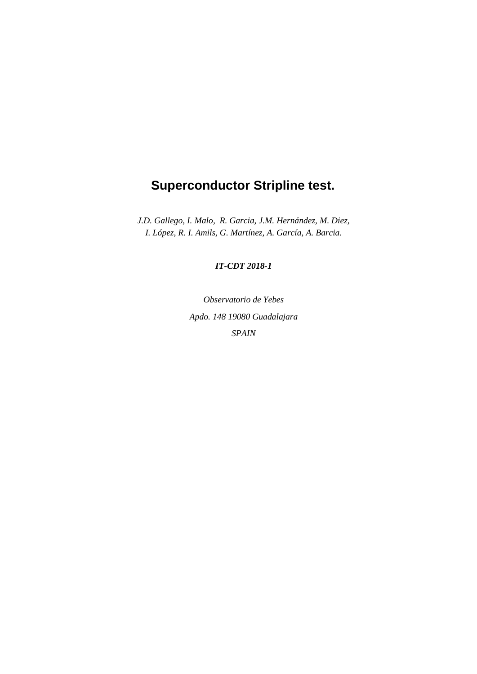# **Superconductor Stripline test.**

*J.D. Gallego, I. Malo, R. Garcia, J.M. Hernández, M. Diez, I. López, R. I. Amils, G. Martínez, A. García, A. Barcia.*

#### *IT-CDT 2018-1*

*Observatorio de Yebes Apdo. 148 19080 Guadalajara SPAIN*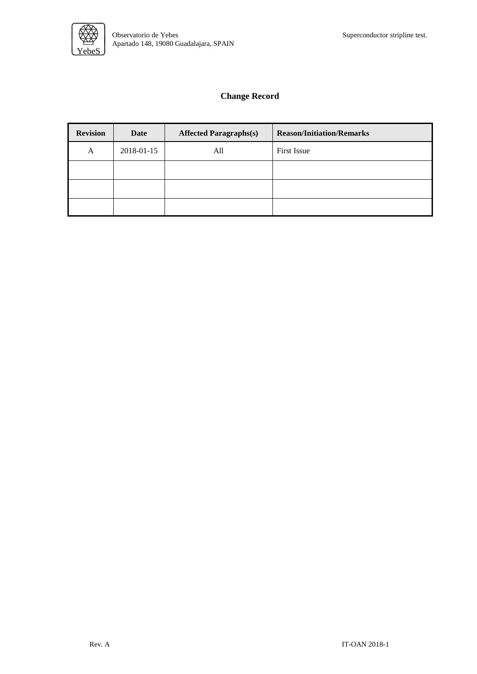

### **Change Record**

| <b>Revision</b> | Date       | <b>Affected Paragraphs(s)</b> | <b>Reason/Initiation/Remarks</b> |  |
|-----------------|------------|-------------------------------|----------------------------------|--|
| A               | 2018-01-15 | All                           | First Issue                      |  |
|                 |            |                               |                                  |  |
|                 |            |                               |                                  |  |
|                 |            |                               |                                  |  |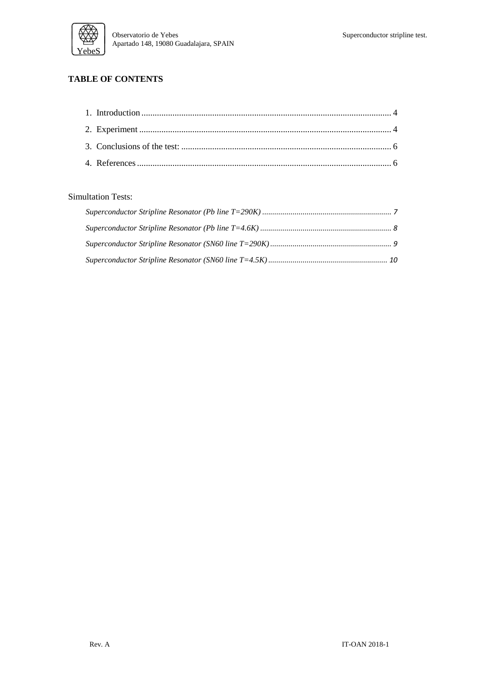

### **TABLE OF CONTENTS**

#### Simultation Tests: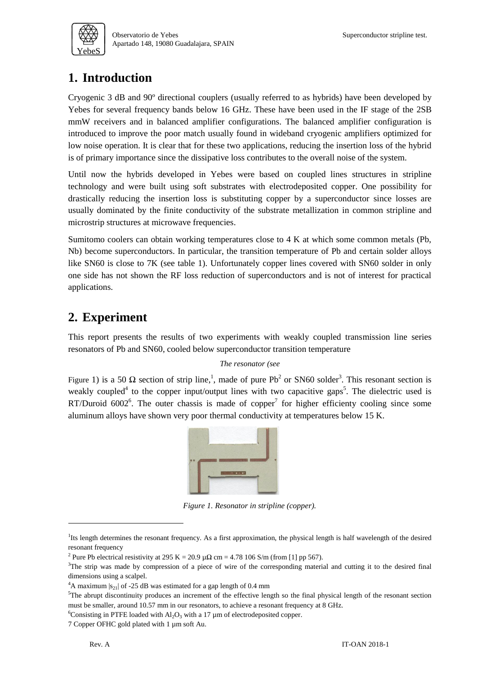

## <span id="page-3-0"></span>**1. Introduction**

Cryogenic 3 dB and 90º directional couplers (usually referred to as hybrids) have been developed by Yebes for several frequency bands below 16 GHz. These have been used in the IF stage of the 2SB mmW receivers and in balanced amplifier configurations. The balanced amplifier configuration is introduced to improve the poor match usually found in wideband cryogenic amplifiers optimized for low noise operation. It is clear that for these two applications, reducing the insertion loss of the hybrid is of primary importance since the dissipative loss contributes to the overall noise of the system.

Until now the hybrids developed in Yebes were based on coupled lines structures in stripline technology and were built using soft substrates with electrodeposited copper. One possibility for drastically reducing the insertion loss is substituting copper by a superconductor since losses are usually dominated by the finite conductivity of the substrate metallization in common stripline and microstrip structures at microwave frequencies.

Sumitomo coolers can obtain working temperatures close to 4 K at which some common metals (Pb, Nb) become superconductors. In particular, the transition temperature of Pb and certain solder alloys like SN60 is close to 7K (see table 1). Unfortunately copper lines covered with SN60 solder in only one side has not shown the RF loss reduction of superconductors and is not of interest for practical applications.

## <span id="page-3-1"></span>**2. Experiment**

This report presents the results of two experiments with weakly coupled transmission line series resonators of Pb and SN60, cooled below superconductor transition temperature

#### *The resonator (see*

[Figure](#page-3-2) 1) is a 50  $\Omega$  section of strip line,<sup>1</sup>, made of pure Pb<sup>2</sup> or SN60 solder<sup>3</sup>. This resonant section is weakly coupled<sup>4</sup> to the copper input/output lines with two capacitive gaps<sup>5</sup>. The dielectric used is RT/Duroid  $6002^6$ . The outer chassis is made of copper<sup>7</sup> for higher efficienty cooling since some aluminum alloys have shown very poor thermal conductivity at temperatures below 15 K.



*Figure 1. Resonator in stripline (copper).*

<span id="page-3-2"></span>1

<sup>&</sup>lt;sup>1</sup>Its length determines the resonant frequency. As a first approximation, the physical length is half wavelength of the desired resonant frequency

<sup>&</sup>lt;sup>2</sup> Pure Pb electrical resistivity at 295 K = 20.9  $\mu\Omega$  cm = 4.78 106 S/m (from [1] pp 567).

<sup>&</sup>lt;sup>3</sup>The strip was made by compression of a piece of wire of the corresponding material and cutting it to the desired final dimensions using a scalpel.

<sup>&</sup>lt;sup>4</sup>A maximum  $|s_{21}|$  of -25 dB was estimated for a gap length of 0.4 mm

 $5$ The abrupt discontinuity produces an increment of the effective length so the final physical length of the resonant section must be smaller, around 10.57 mm in our resonators, to achieve a resonant frequency at 8 GHz.

<sup>&</sup>lt;sup>6</sup>Consisting in PTFE loaded with  $AI_2O_3$  with a 17 µm of electrodeposited copper.

<sup>7</sup> Copper OFHC gold plated with 1 µm soft Au.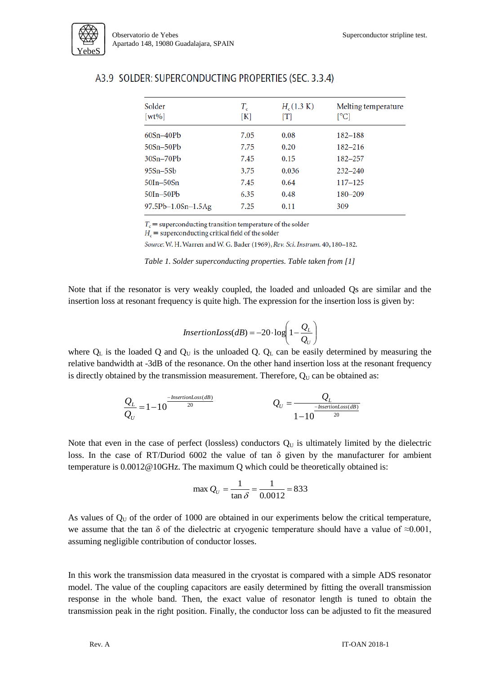

| Solder<br>$[wt\%]$       | $T_c$<br>[K] | $H_c(1.3 \text{ K})$<br>$\lceil T \rceil$ | Melting temperature<br>[°C] |
|--------------------------|--------------|-------------------------------------------|-----------------------------|
| $60Sn-40Pb$              | 7.05         | 0.08                                      | $182 - 188$                 |
| $50Sn-50Pb$              | 7.75         | 0.20                                      | $182 - 216$                 |
| $30Sn-70Pb$              | 7.45         | 0.15                                      | 182-257                     |
| $95Sn-5Sb$               | 3.75         | 0.036                                     | $232 - 240$                 |
| $50In-50Sn$              | 7.45         | 0.64                                      | $117 - 125$                 |
| $50In-50Pb$              | 6.35         | 0.48                                      | 180-209                     |
| $97.5Pb - 1.0Sn - 1.5Ag$ | 7.25         | 0.11                                      | 309                         |

### A3.9 SOLDER: SUPERCONDUCTING PROPERTIES (SEC. 3.3.4)

 $T_c$  = superconducting transition temperature of the solder

 $H_c$  = superconducting critical field of the solder

Source: W. H. Warren and W. G. Bader (1969), Rev. Sci. Instrum. 40, 180-182.

*Table 1. Solder superconducting properties. Table taken from [1]*

Note that if the resonator is very weakly coupled, the loaded and unloaded Qs are similar and the insertion loss at resonant frequency is quite high. The expression for the insertion loss is given by:

$$
InsertionLoss(dB) = -20 \cdot log\left(1 - \frac{Q_L}{Q_U}\right)
$$

where  $Q_L$  is the loaded Q and  $Q_U$  is the unloaded Q.  $Q_L$  can be easily determined by measuring the relative bandwidth at -3dB of the resonance. On the other hand insertion loss at the resonant frequency is directly obtained by the transmission measurement. Therefore,  $Q_U$  can be obtained as:

$$
\frac{Q_L}{Q_U} = 1 - 10^{-\frac{\text{InsertionLoss}(dB)}{20}}
$$
\n
$$
Q_U = \frac{Q_L}{1 - 10^{-\frac{\text{InsertionLoss}(dB)}{20}}}
$$

Note that even in the case of perfect (lossless) conductors  $Q_U$  is ultimately limited by the dielectric loss. In the case of RT/Duriod 6002 the value of tan  $\delta$  given by the manufacturer for ambient temperature is 0.0012@10GHz. The maximum Q which could be theoretically obtained is:

$$
\max Q_U = \frac{1}{\tan \delta} = \frac{1}{0.0012} = 833
$$

As values of  $Q_U$  of the order of 1000 are obtained in our experiments below the critical temperature, we assume that the tan  $\delta$  of the dielectric at cryogenic temperature should have a value of  $\approx 0.001$ , assuming negligible contribution of conductor losses.

In this work the transmission data measured in the cryostat is compared with a simple ADS resonator model. The value of the coupling capacitors are easily determined by fitting the overall transmission response in the whole band. Then, the exact value of resonator length is tuned to obtain the transmission peak in the right position. Finally, the conductor loss can be adjusted to fit the measured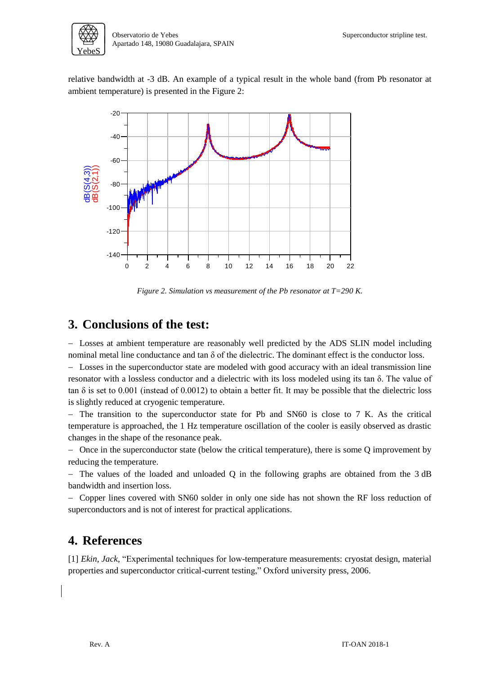

relative bandwidth at -3 dB. An example of a typical result in the whole band (from Pb resonator at ambient temperature) is presented in the [Figure 2:](#page-5-2)



*Figure 2. Simulation vs measurement of the Pb resonator at T=290 K.*

### <span id="page-5-2"></span><span id="page-5-0"></span>**3. Conclusions of the test:**

- Losses at ambient temperature are reasonably well predicted by the ADS SLIN model including nominal metal line conductance and tan  $\delta$  of the dielectric. The dominant effect is the conductor loss.

 Losses in the superconductor state are modeled with good accuracy with an ideal transmission line resonator with a lossless conductor and a dielectric with its loss modeled using its tan δ. The value of tan  $\delta$  is set to 0.001 (instead of 0.0012) to obtain a better fit. It may be possible that the dielectric loss is slightly reduced at cryogenic temperature.

- The transition to the superconductor state for Pb and SN60 is close to 7 K. As the critical temperature is approached, the 1 Hz temperature oscillation of the cooler is easily observed as drastic changes in the shape of the resonance peak.

- Once in the superconductor state (below the critical temperature), there is some Q improvement by reducing the temperature.

 $-$  The values of the loaded and unloaded Q in the following graphs are obtained from the 3 dB bandwidth and insertion loss.

- Copper lines covered with SN60 solder in only one side has not shown the RF loss reduction of superconductors and is not of interest for practical applications.

### <span id="page-5-1"></span>**4. References**

[1] *Ekin, Jack,* "Experimental techniques for low-temperature measurements: cryostat design, material properties and superconductor critical-current testing," Oxford university press, 2006.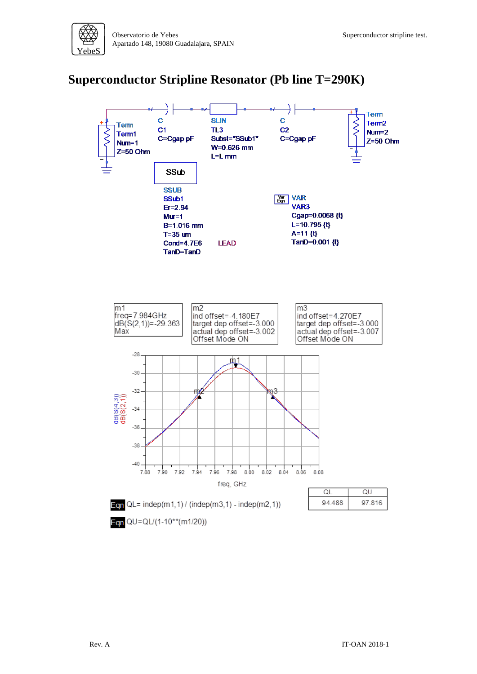## <span id="page-6-0"></span>**Superconductor Stripline Resonator (Pb line T=290K)**

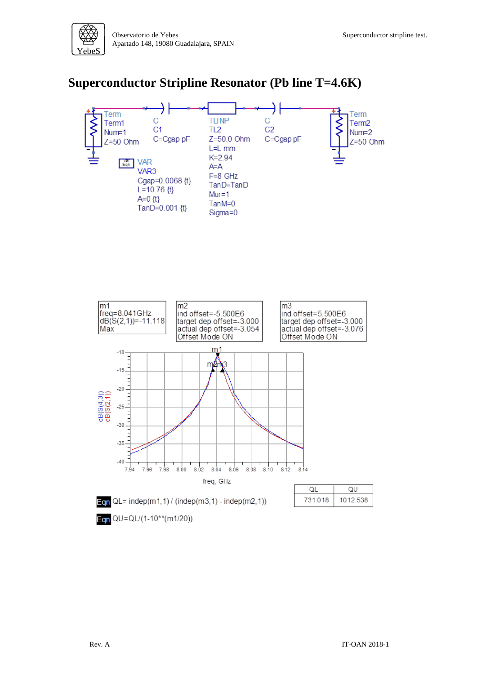

### <span id="page-7-0"></span>**Superconductor Stripline Resonator (Pb line T=4.6K)**

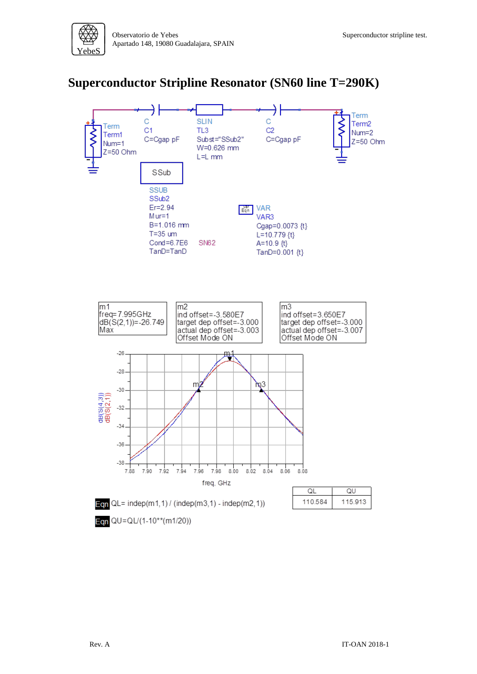

### <span id="page-8-0"></span>**Superconductor Stripline Resonator (SN60 line T=290K)**